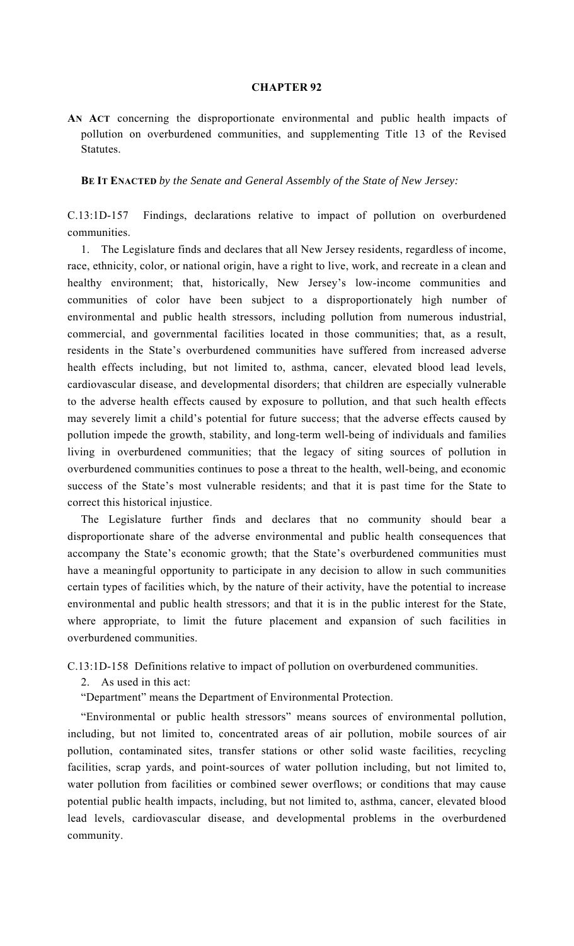## **CHAPTER 92**

**AN ACT** concerning the disproportionate environmental and public health impacts of pollution on overburdened communities, and supplementing Title 13 of the Revised Statutes.

 **BE IT ENACTED** *by the Senate and General Assembly of the State of New Jersey:* 

C.13:1D-157 Findings, declarations relative to impact of pollution on overburdened communities.

 1. The Legislature finds and declares that all New Jersey residents, regardless of income, race, ethnicity, color, or national origin, have a right to live, work, and recreate in a clean and healthy environment; that, historically, New Jersey's low-income communities and communities of color have been subject to a disproportionately high number of environmental and public health stressors, including pollution from numerous industrial, commercial, and governmental facilities located in those communities; that, as a result, residents in the State's overburdened communities have suffered from increased adverse health effects including, but not limited to, asthma, cancer, elevated blood lead levels, cardiovascular disease, and developmental disorders; that children are especially vulnerable to the adverse health effects caused by exposure to pollution, and that such health effects may severely limit a child's potential for future success; that the adverse effects caused by pollution impede the growth, stability, and long-term well-being of individuals and families living in overburdened communities; that the legacy of siting sources of pollution in overburdened communities continues to pose a threat to the health, well-being, and economic success of the State's most vulnerable residents; and that it is past time for the State to correct this historical injustice.

 The Legislature further finds and declares that no community should bear a disproportionate share of the adverse environmental and public health consequences that accompany the State's economic growth; that the State's overburdened communities must have a meaningful opportunity to participate in any decision to allow in such communities certain types of facilities which, by the nature of their activity, have the potential to increase environmental and public health stressors; and that it is in the public interest for the State, where appropriate, to limit the future placement and expansion of such facilities in overburdened communities.

C.13:1D-158 Definitions relative to impact of pollution on overburdened communities.

2. As used in this act:

"Department" means the Department of Environmental Protection.

 "Environmental or public health stressors" means sources of environmental pollution, including, but not limited to, concentrated areas of air pollution, mobile sources of air pollution, contaminated sites, transfer stations or other solid waste facilities, recycling facilities, scrap yards, and point-sources of water pollution including, but not limited to, water pollution from facilities or combined sewer overflows; or conditions that may cause potential public health impacts, including, but not limited to, asthma, cancer, elevated blood lead levels, cardiovascular disease, and developmental problems in the overburdened community.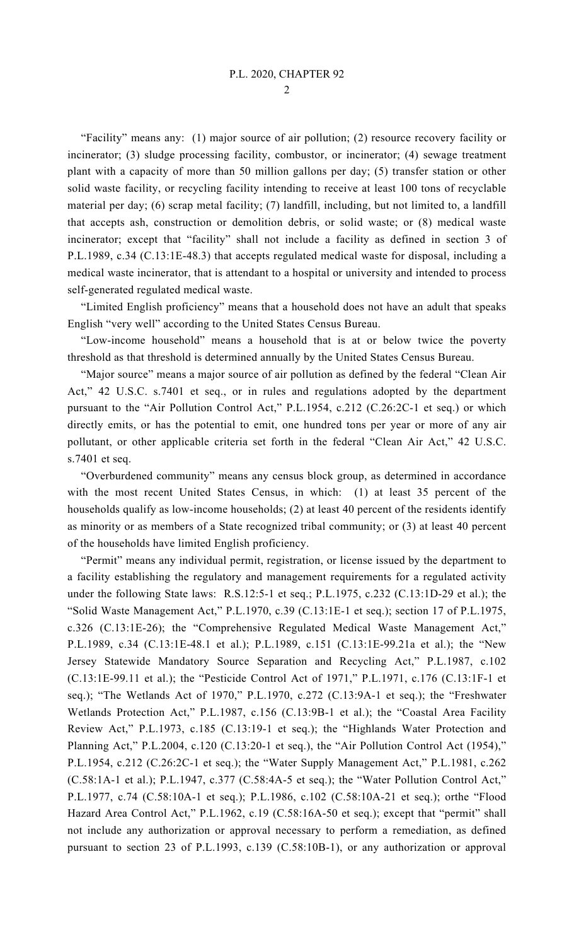2

 "Facility" means any: (1) major source of air pollution; (2) resource recovery facility or incinerator; (3) sludge processing facility, combustor, or incinerator; (4) sewage treatment plant with a capacity of more than 50 million gallons per day; (5) transfer station or other solid waste facility, or recycling facility intending to receive at least 100 tons of recyclable material per day; (6) scrap metal facility; (7) landfill, including, but not limited to, a landfill that accepts ash, construction or demolition debris, or solid waste; or (8) medical waste incinerator; except that "facility" shall not include a facility as defined in section 3 of P.L.1989, c.34 (C.13:1E-48.3) that accepts regulated medical waste for disposal, including a medical waste incinerator, that is attendant to a hospital or university and intended to process self-generated regulated medical waste.

 "Limited English proficiency" means that a household does not have an adult that speaks English "very well" according to the United States Census Bureau.

 "Low-income household" means a household that is at or below twice the poverty threshold as that threshold is determined annually by the United States Census Bureau.

 "Major source" means a major source of air pollution as defined by the federal "Clean Air Act," 42 U.S.C. s.7401 et seq., or in rules and regulations adopted by the department pursuant to the "Air Pollution Control Act," P.L.1954, c.212 (C.26:2C-1 et seq.) or which directly emits, or has the potential to emit, one hundred tons per year or more of any air pollutant, or other applicable criteria set forth in the federal "Clean Air Act," 42 U.S.C. s.7401 et seq.

 "Overburdened community" means any census block group, as determined in accordance with the most recent United States Census, in which: (1) at least 35 percent of the households qualify as low-income households; (2) at least 40 percent of the residents identify as minority or as members of a State recognized tribal community; or (3) at least 40 percent of the households have limited English proficiency.

 "Permit" means any individual permit, registration, or license issued by the department to a facility establishing the regulatory and management requirements for a regulated activity under the following State laws: R.S.12:5-1 et seq.; P.L.1975, c.232 (C.13:1D-29 et al.); the "Solid Waste Management Act," P.L.1970, c.39 (C.13:1E-1 et seq.); section 17 of P.L.1975, c.326 (C.13:1E-26); the "Comprehensive Regulated Medical Waste Management Act," P.L.1989, c.34 (C.13:1E-48.1 et al.); P.L.1989, c.151 (C.13:1E-99.21a et al.); the "New Jersey Statewide Mandatory Source Separation and Recycling Act," P.L.1987, c.102 (C.13:1E-99.11 et al.); the "Pesticide Control Act of 1971," P.L.1971, c.176 (C.13:1F-1 et seq.); "The Wetlands Act of 1970," P.L.1970, c.272 (C.13:9A-1 et seq.); the "Freshwater Wetlands Protection Act," P.L.1987, c.156 (C.13:9B-1 et al.); the "Coastal Area Facility Review Act," P.L.1973, c.185 (C.13:19-1 et seq.); the "Highlands Water Protection and Planning Act," P.L.2004, c.120 (C.13:20-1 et seq.), the "Air Pollution Control Act (1954)," P.L.1954, c.212 (C.26:2C-1 et seq.); the "Water Supply Management Act," P.L.1981, c.262 (C.58:1A-1 et al.); P.L.1947, c.377 (C.58:4A-5 et seq.); the "Water Pollution Control Act," P.L.1977, c.74 (C.58:10A-1 et seq.); P.L.1986, c.102 (C.58:10A-21 et seq.); orthe "Flood Hazard Area Control Act," P.L.1962, c.19 (C.58:16A-50 et seq.); except that "permit" shall not include any authorization or approval necessary to perform a remediation, as defined pursuant to section 23 of P.L.1993, c.139 (C.58:10B-1), or any authorization or approval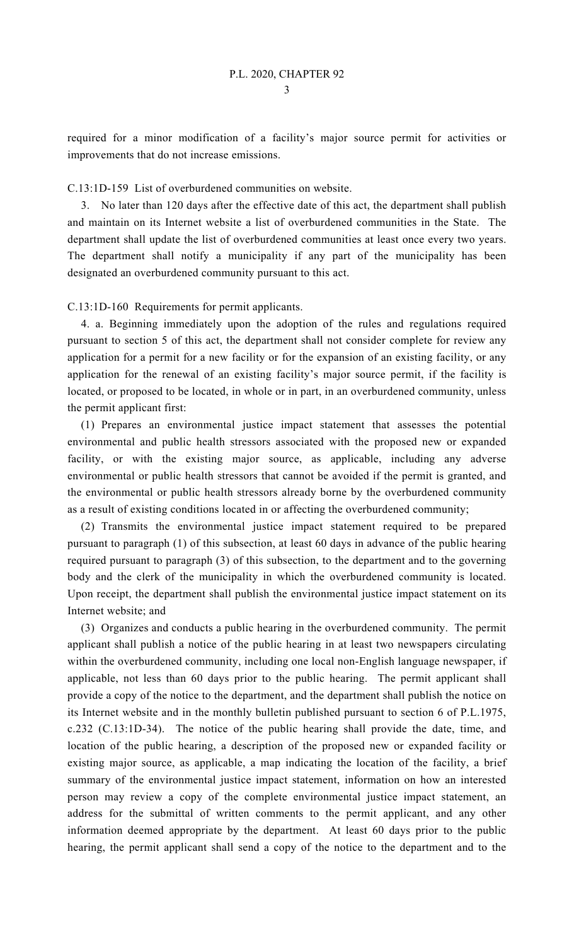required for a minor modification of a facility's major source permit for activities or improvements that do not increase emissions.

## C.13:1D-159 List of overburdened communities on website.

 3. No later than 120 days after the effective date of this act, the department shall publish and maintain on its Internet website a list of overburdened communities in the State. The department shall update the list of overburdened communities at least once every two years. The department shall notify a municipality if any part of the municipality has been designated an overburdened community pursuant to this act.

## C.13:1D-160 Requirements for permit applicants.

 4. a. Beginning immediately upon the adoption of the rules and regulations required pursuant to section 5 of this act, the department shall not consider complete for review any application for a permit for a new facility or for the expansion of an existing facility, or any application for the renewal of an existing facility's major source permit, if the facility is located, or proposed to be located, in whole or in part, in an overburdened community, unless the permit applicant first:

 (1) Prepares an environmental justice impact statement that assesses the potential environmental and public health stressors associated with the proposed new or expanded facility, or with the existing major source, as applicable, including any adverse environmental or public health stressors that cannot be avoided if the permit is granted, and the environmental or public health stressors already borne by the overburdened community as a result of existing conditions located in or affecting the overburdened community;

 (2) Transmits the environmental justice impact statement required to be prepared pursuant to paragraph (1) of this subsection, at least 60 days in advance of the public hearing required pursuant to paragraph (3) of this subsection, to the department and to the governing body and the clerk of the municipality in which the overburdened community is located. Upon receipt, the department shall publish the environmental justice impact statement on its Internet website; and

 (3) Organizes and conducts a public hearing in the overburdened community. The permit applicant shall publish a notice of the public hearing in at least two newspapers circulating within the overburdened community, including one local non-English language newspaper, if applicable, not less than 60 days prior to the public hearing. The permit applicant shall provide a copy of the notice to the department, and the department shall publish the notice on its Internet website and in the monthly bulletin published pursuant to section 6 of P.L.1975, c.232 (C.13:1D-34). The notice of the public hearing shall provide the date, time, and location of the public hearing, a description of the proposed new or expanded facility or existing major source, as applicable, a map indicating the location of the facility, a brief summary of the environmental justice impact statement, information on how an interested person may review a copy of the complete environmental justice impact statement, an address for the submittal of written comments to the permit applicant, and any other information deemed appropriate by the department. At least 60 days prior to the public hearing, the permit applicant shall send a copy of the notice to the department and to the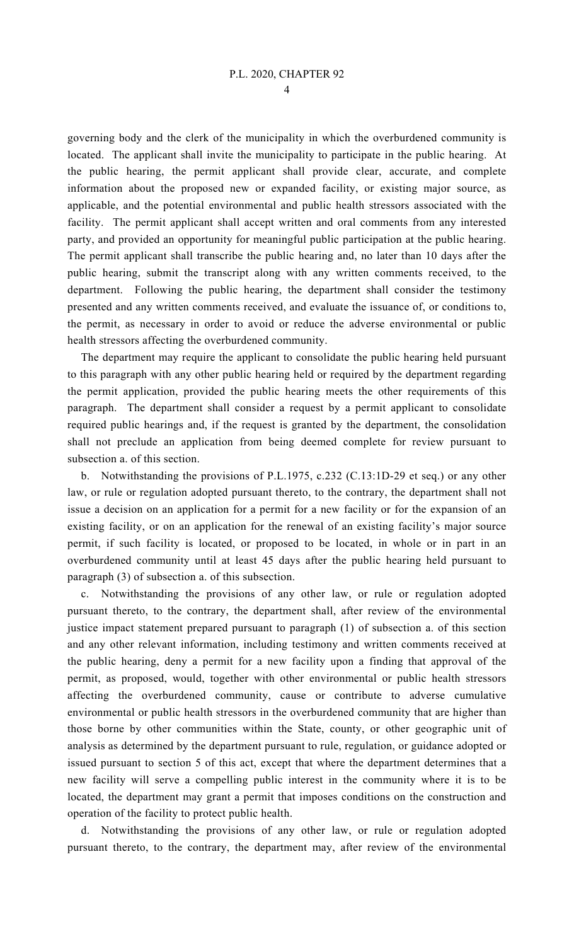4

governing body and the clerk of the municipality in which the overburdened community is located. The applicant shall invite the municipality to participate in the public hearing. At the public hearing, the permit applicant shall provide clear, accurate, and complete information about the proposed new or expanded facility, or existing major source, as applicable, and the potential environmental and public health stressors associated with the facility. The permit applicant shall accept written and oral comments from any interested party, and provided an opportunity for meaningful public participation at the public hearing. The permit applicant shall transcribe the public hearing and, no later than 10 days after the public hearing, submit the transcript along with any written comments received, to the department. Following the public hearing, the department shall consider the testimony presented and any written comments received, and evaluate the issuance of, or conditions to, the permit, as necessary in order to avoid or reduce the adverse environmental or public health stressors affecting the overburdened community.

 The department may require the applicant to consolidate the public hearing held pursuant to this paragraph with any other public hearing held or required by the department regarding the permit application, provided the public hearing meets the other requirements of this paragraph. The department shall consider a request by a permit applicant to consolidate required public hearings and, if the request is granted by the department, the consolidation shall not preclude an application from being deemed complete for review pursuant to subsection a. of this section.

 b. Notwithstanding the provisions of P.L.1975, c.232 (C.13:1D-29 et seq.) or any other law, or rule or regulation adopted pursuant thereto, to the contrary, the department shall not issue a decision on an application for a permit for a new facility or for the expansion of an existing facility, or on an application for the renewal of an existing facility's major source permit, if such facility is located, or proposed to be located, in whole or in part in an overburdened community until at least 45 days after the public hearing held pursuant to paragraph (3) of subsection a. of this subsection.

 c. Notwithstanding the provisions of any other law, or rule or regulation adopted pursuant thereto, to the contrary, the department shall, after review of the environmental justice impact statement prepared pursuant to paragraph (1) of subsection a. of this section and any other relevant information, including testimony and written comments received at the public hearing, deny a permit for a new facility upon a finding that approval of the permit, as proposed, would, together with other environmental or public health stressors affecting the overburdened community, cause or contribute to adverse cumulative environmental or public health stressors in the overburdened community that are higher than those borne by other communities within the State, county, or other geographic unit of analysis as determined by the department pursuant to rule, regulation, or guidance adopted or issued pursuant to section 5 of this act, except that where the department determines that a new facility will serve a compelling public interest in the community where it is to be located, the department may grant a permit that imposes conditions on the construction and operation of the facility to protect public health.

 d. Notwithstanding the provisions of any other law, or rule or regulation adopted pursuant thereto, to the contrary, the department may, after review of the environmental